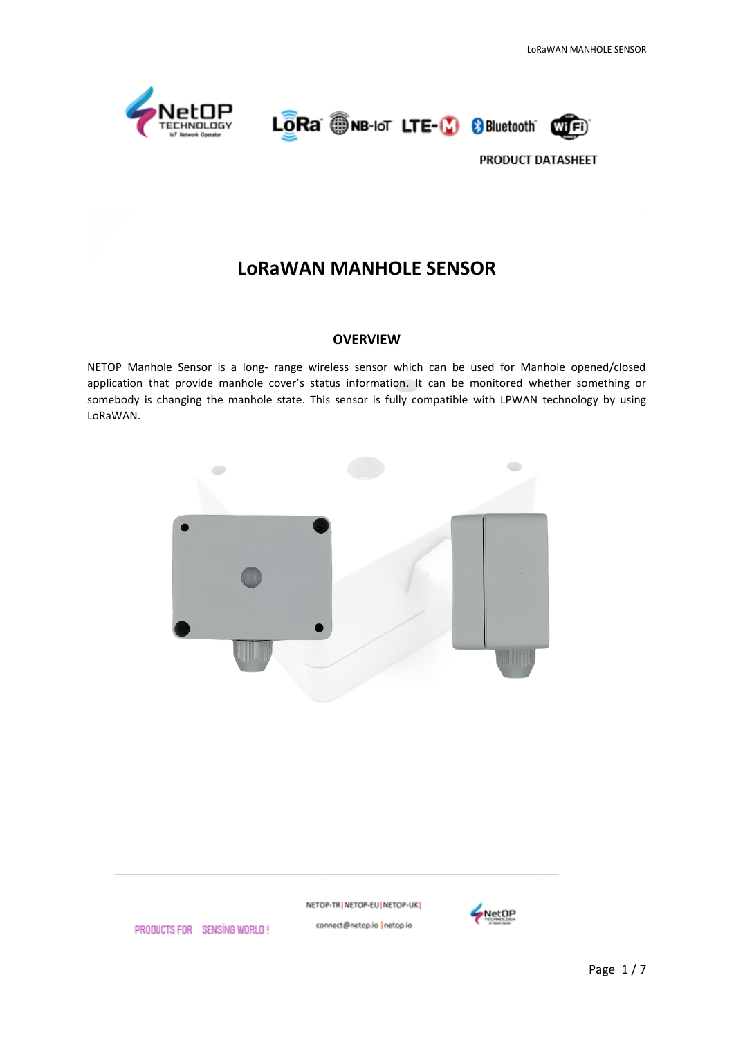





# **LoRaWAN MANHOLE SENSOR**

#### **OVERVIEW**

NETOP Manhole Sensor is a long- range wireless sensor which can be used for Manhole opened/closed application that provide manhole cover's status information. It can be monitored whether something or somebody is changing the manhole state. This sensor is fully compatible with LPWAN technology by using LoRaWAN.



NETOP-TR | NETOP-EU | NETOP-UK | connect@netop.io |netop.io



PRODUCTS FOR SENSING WORLD!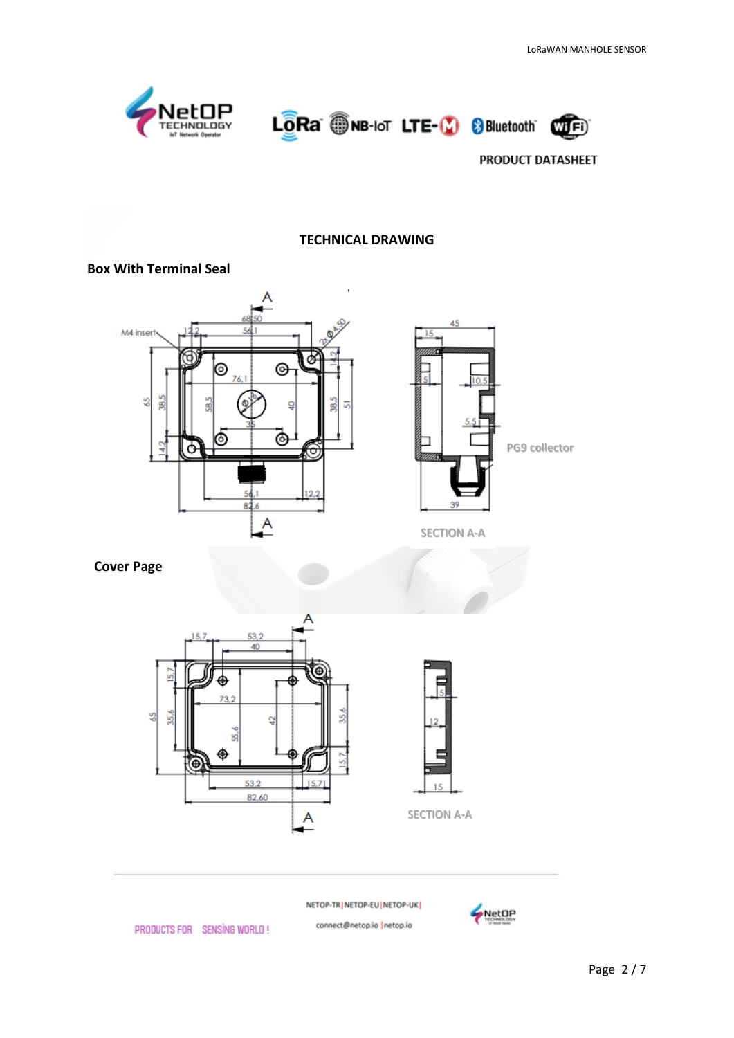





#### **TECHNICAL DRAWING**

#### **Box With Terminal Seal**





SECTION A-A

## **Cover Page**





NETOP-TR | NETOP-EU | NETOP-UK |

connect@netop.io |netop.io



PRODUCTS FOR SENSING WORLD!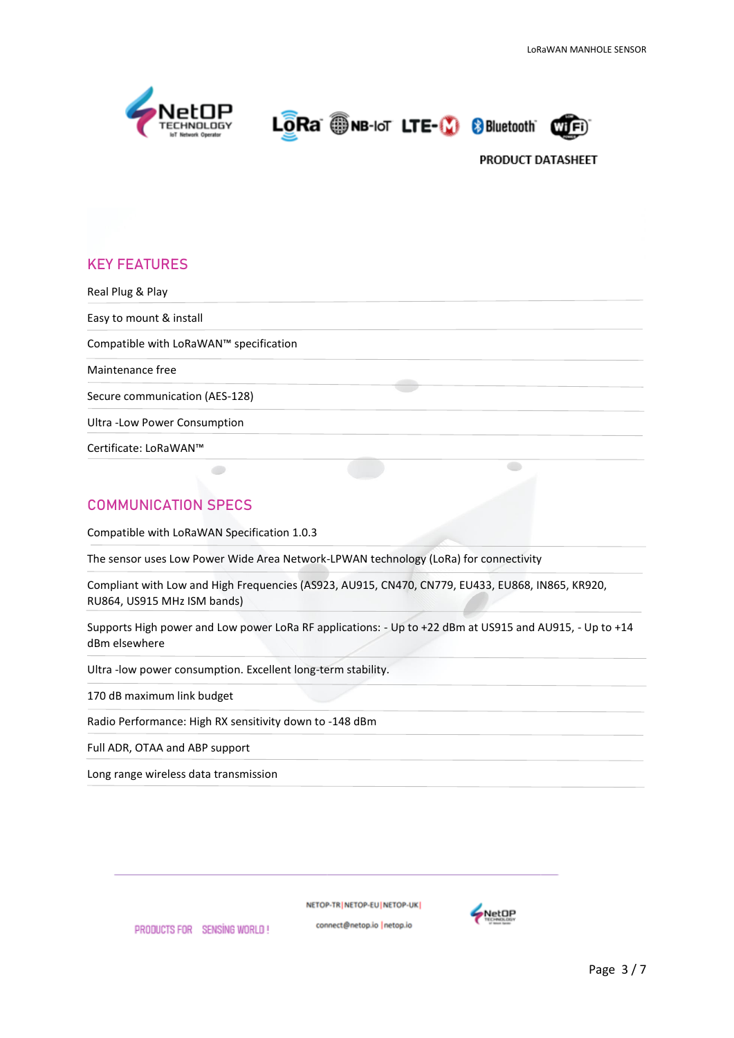





## **KEY FEATURES**

Real Plug & Play Easy to mount & install Compatible with LoRaWAN™ specification Maintenance free Secure communication (AES-128) Ultra -Low Power Consumption Certificate: LoRaWAN™  $\bullet$ 

## **COMMUNICATION SPECS**

Compatible with LoRaWAN Specification 1.0.3

The sensor uses Low Power Wide Area Network-LPWAN technology (LoRa) for connectivity

Compliant with Low and High Frequencies (AS923, AU915, CN470, CN779, EU433, EU868, IN865, KR920, RU864, US915 MHz ISM bands)

Supports High power and Low power LoRa RF applications: - Up to +22 dBm at US915 and AU915, - Up to +14 dBm elsewhere

Ultra -low power consumption. Excellent long-term stability.

170 dB maximum link budget

Radio Performance: High RX sensitivity down to -148 dBm

Full ADR, OTAA and ABP support

Long range wireless data transmission

NETOP-TRINETOP-EUINETOP-UK

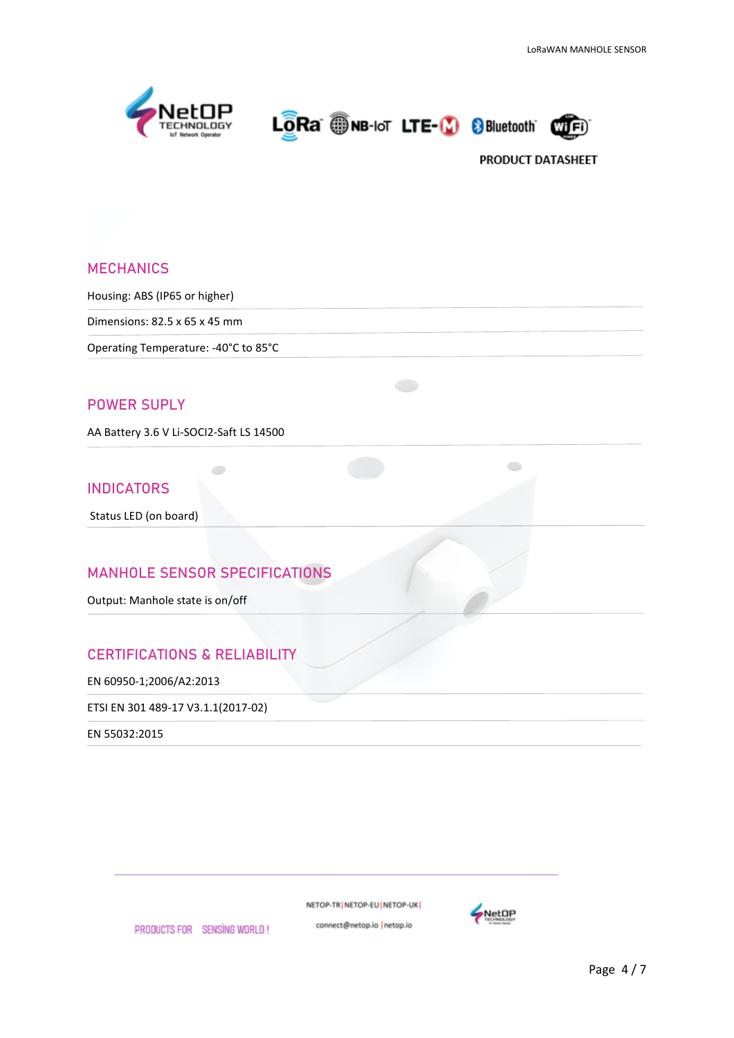





#### **MECHANICS**

Housing: ABS (IP65 or higher)

Dimensions: 82.5 x 65 x 45 mm

Operating Temperature: -40°C to 85°C

#### **POWER SUPLY**

AA Battery 3.6 V Li-SOCI2-Saft LS 14500

#### **INDICATORS**

Status LED (on board)

### **MANHOLE SENSOR SPECIFICATIONS**

Output: Manhole state is on/off

## **CERTIFICATIONS & RELIABILITY**

EN 60950-1;2006/A2:2013

ETSI EN 301 489-17 V3.1.1(2017-02)

EN 55032:2015

NETOP-TR | NETOP-EU | NETOP-UK |

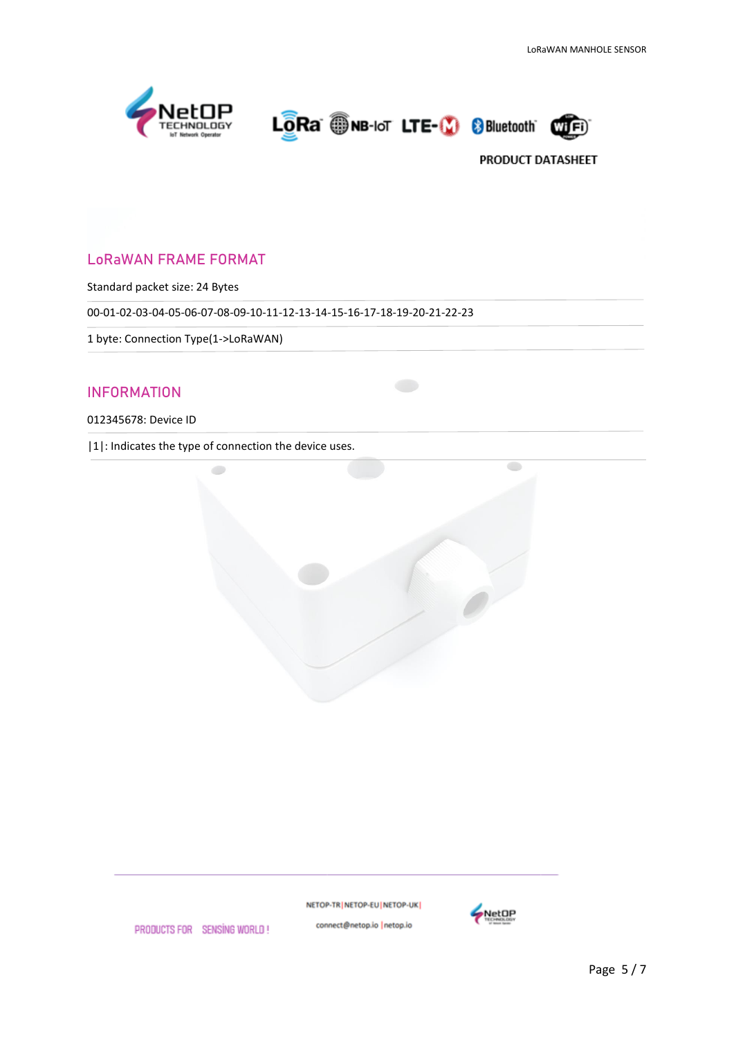





## LoRaWAN FRAME FORMAT

Standard packet size: 24 Bytes

00-01-02-03-04-05-06-07-08-09-10-11-12-13-14-15-16-17-18-19-20-21-22-23

1 byte: Connection Type(1->LoRaWAN)

#### INFORMATION

012345678: Device ID

|1|: Indicates the type of connection the device uses.



NETOP-TR | NETOP-EU | NETOP-UK |



PRODUCTS FOR SENSING WORLD!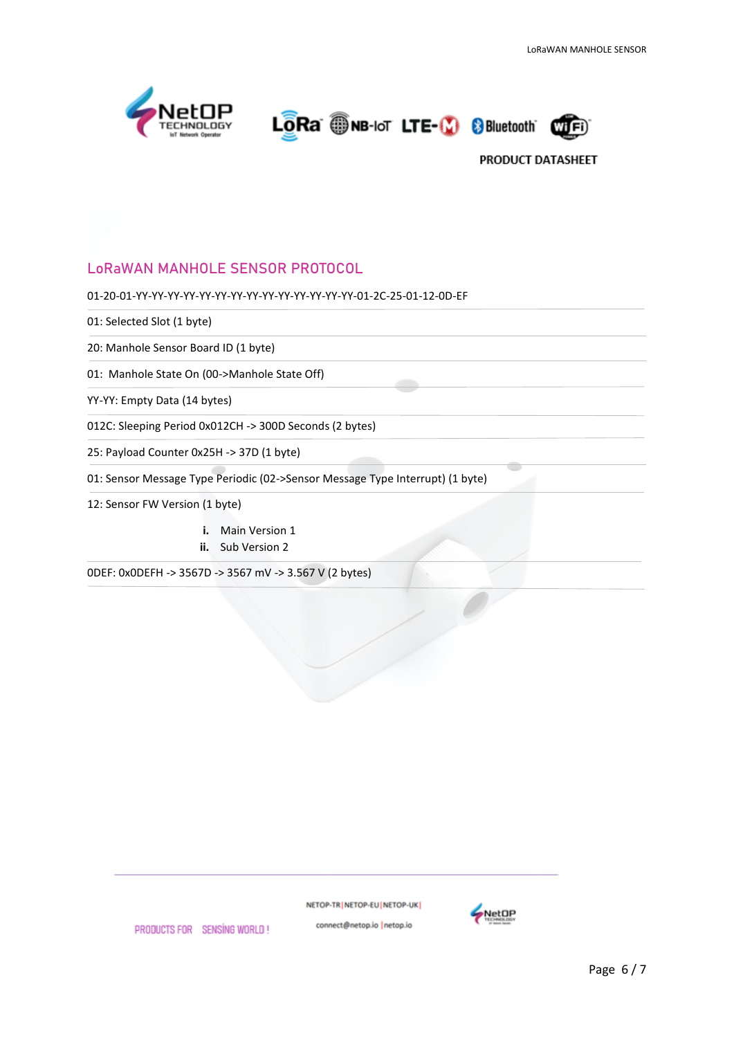

LORA ONB-IOT LTE-10 8Bluetooth



## LoRaWAN MANHOLE SENSOR PROTOCOL

01-20-01-YY-YY-YY-YY-YY-YY-YY-YY-YY-YY-YY-YY-YY-YY-01-2C-25-01-12-0D-EF

01: Selected Slot (1 byte)

20: Manhole Sensor Board ID (1 byte)

01: Manhole State On (00->Manhole State Off)

YY-YY: Empty Data (14 bytes)

012C: Sleeping Period 0x012CH -> 300D Seconds (2 bytes)

25: Payload Counter 0x25H -> 37D (1 byte)

01: Sensor Message Type Periodic (02->Sensor Message Type Interrupt) (1 byte)

12: Sensor FW Version (1 byte)

- **i.** Main Version 1
- **ii.** Sub Version 2

0DEF: 0x0DEFH -> 3567D -> 3567 mV -> 3.567 V (2 bytes)

NETOP-TR NETOP-EU NETOP-UK connect@netop.io |netop.io



PRODUCTS FOR SENSING WORLD!